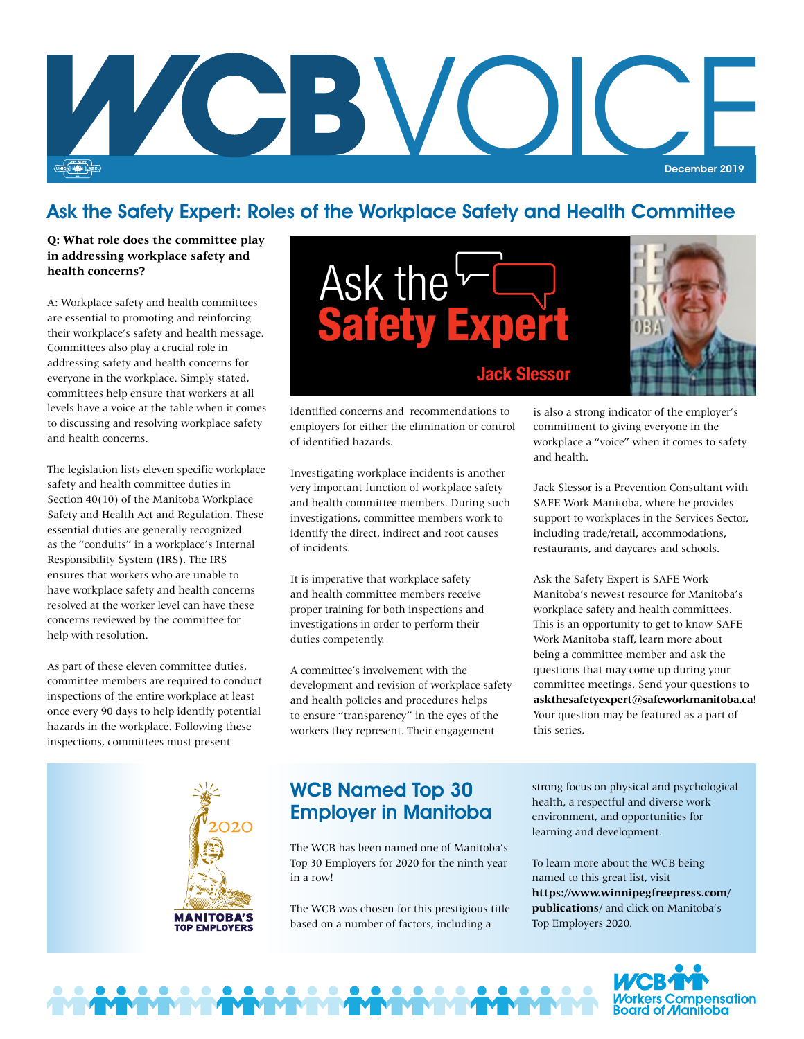

## Ask the Safety Expert: Roles of the Workplace Safety and Health Committee

#### **Q: What role does the committee play in addressing workplace safety and health concerns?**

A: Workplace safety and health committees are essential to promoting and reinforcing their workplace's safety and health message. Committees also play a crucial role in addressing safety and health concerns for everyone in the workplace. Simply stated, committees help ensure that workers at all levels have a voice at the table when it comes to discussing and resolving workplace safety and health concerns.

The legislation lists eleven specific workplace safety and health committee duties in Section 40(10) of the Manitoba Workplace Safety and Health Act and Regulation. These essential duties are generally recognized as the "conduits" in a workplace's Internal Responsibility System (IRS). The IRS ensures that workers who are unable to have workplace safety and health concerns resolved at the worker level can have these concerns reviewed by the committee for help with resolution.

As part of these eleven committee duties, committee members are required to conduct inspections of the entire workplace at least once every 90 days to help identify potential hazards in the workplace. Following these inspections, committees must present



identified concerns and recommendations to employers for either the elimination or control of identified hazards.

Investigating workplace incidents is another very important function of workplace safety and health committee members. During such investigations, committee members work to identify the direct, indirect and root causes of incidents.

It is imperative that workplace safety and health committee members receive proper training for both inspections and investigations in order to perform their duties competently.

A committee's involvement with the development and revision of workplace safety and health policies and procedures helps to ensure "transparency" in the eyes of the workers they represent. Their engagement

is also a strong indicator of the employer's commitment to giving everyone in the workplace a "voice" when it comes to safety and health.

Jack Slessor is a Prevention Consultant with SAFE Work Manitoba, where he provides support to workplaces in the Services Sector, including trade/retail, accommodations, restaurants, and daycares and schools.

Ask the Safety Expert is SAFE Work Manitoba's newest resource for Manitoba's workplace safety and health committees. This is an opportunity to get to know SAFE Work Manitoba staff, learn more about being a committee member and ask the questions that may come up during your committee meetings. Send your questions to **[askthesafetyexpert@safeworkmanitoba.ca](mailto:askthesafetyexpert@safeworkmanitoba.ca)**! Your question may be featured as a part of this series.



## WCB Named Top 30 Employer in Manitoba

The WCB has been named one of Manitoba's Top 30 Employers for 2020 for the ninth year in a row!

The WCB was chosen for this prestigious title based on a number of factors, including a

strong focus on physical and psychological health, a respectful and diverse work environment, and opportunities for learning and development.

To learn more about the WCB being named to this great list, visit **[https://www.winnipegfreepress.com/](https://www.winnipegfreepress.com) publications/** and click on Manitoba's Top Employers 2020.